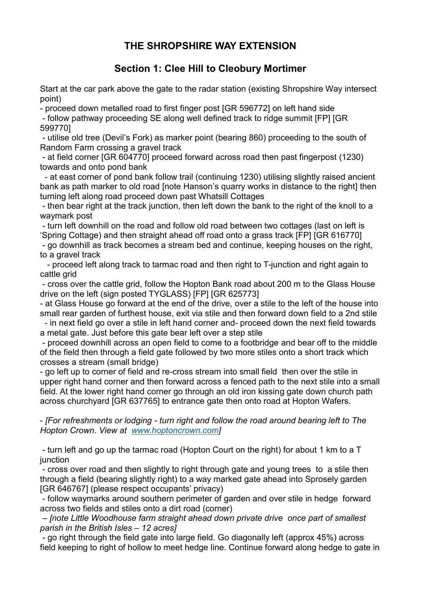## **THE SHROPSHIRE WAY EXTENSION**

## **Section 1: Clee Hill to Cleobury Mortimer**

Start at the car park above the gate to the radar station (existing Shropshire Way intersect point)

- proceed down metalled road to first finger post [GR 596772] on left hand side

- follow pathway proceeding SE along well defined track to ridge summit [FP] [GR 599770]

- utilise old tree (Devil's Fork) as marker point (bearing 860) proceeding to the south of Random Farm crossing a gravel track

- at field corner [GR 604770] proceed forward across road then past fingerpost (1230) towards and onto pond bank

 - at east corner of pond bank follow trail (continuing 1230) utilising slightly raised ancient bank as path marker to old road [note Hanson's quarry works in distance to the right] then turning left along road proceed down past Whatsill Cottages

- then bear right at the track junction, then left down the bank to the right of the knoll to a waymark post

- turn left downhill on the road and follow old road between two cottages (last on left is 'Spring Cottage) and then straight ahead off road onto a grass track [FP] [GR 616770]

- go downhill as track becomes a stream bed and continue, keeping houses on the right, to a gravel track

 - proceed left along track to tarmac road and then right to T-junction and right again to cattle grid

- cross over the cattle grid, follow the Hopton Bank road about 200 m to the Glass House drive on the left (sign posted TYGLASS) [FP] [GR 625773]

- at Glass House go forward at the end of the drive, over a stile to the left of the house into small rear garden of furthest house, exit via stile and then forward down field to a 2nd stile

 - in next field go over a stile in left hand corner and- proceed down the next field towards a metal gate. Just before this gate bear left over a step stile

- proceed downhill across an open field to come to a footbridge and bear off to the middle of the field then through a field gate followed by two more stiles onto a short track which crosses a stream (small bridge)

- go left up to corner of field and re-cross stream into small field then over the stile in upper right hand corner and then forward across a fenced path to the next stile into a small field. At the lower right hand corner go through an old iron kissing gate down church path across churchyard [GR 637765] to entrance gate then onto road at Hopton Wafers.

- *[For refreshments or lodging - turn right and follow the road around bearing left to The Hopton Crown. View at [www.hoptoncrown.com\]](http://www.hoptoncrown.com/)*

- turn left and go up the tarmac road (Hopton Court on the right) for about 1 km to a T junction

- cross over road and then slightly to right through gate and young trees to a stile then through a field (bearing slightly right) to a way marked gate ahead into Sprosely garden [GR 646767] (please respect occupants' privacy)

- follow waymarks around southern perimeter of garden and over stile in hedge forward across two fields and stiles onto a dirt road (corner)

*– [note Little Woodhouse farm straight ahead down private drive once part of smallest parish in the British Isles – 12 acres]*

- go right through the field gate into large field. Go diagonally left (approx 45%) across field keeping to right of hollow to meet hedge line. Continue forward along hedge to gate in